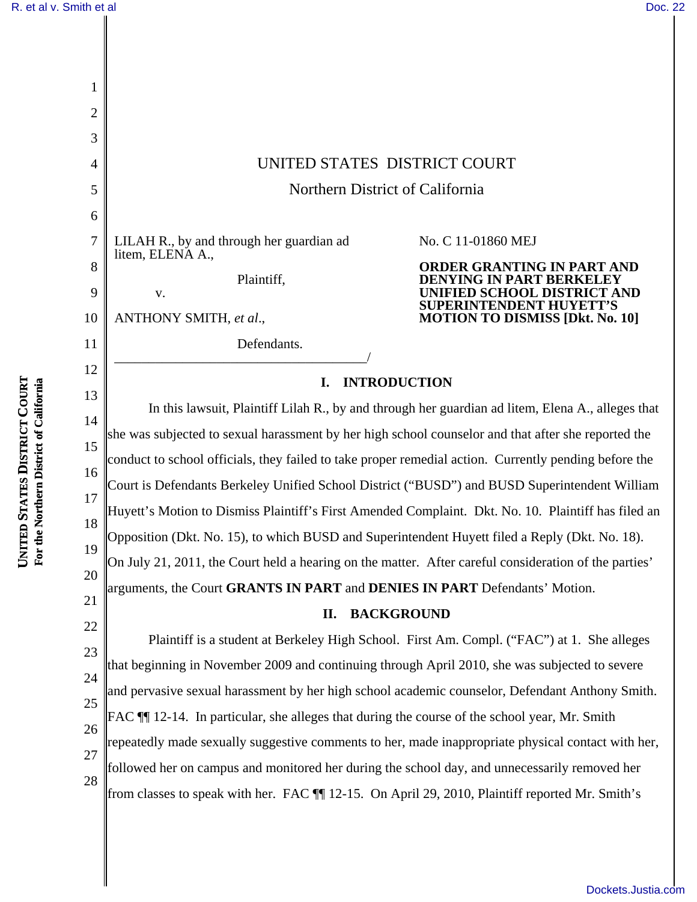| R. et al v. Smith et al                                             |          |                                                                                                       | Doc. 22                                                              |  |
|---------------------------------------------------------------------|----------|-------------------------------------------------------------------------------------------------------|----------------------------------------------------------------------|--|
|                                                                     |          |                                                                                                       |                                                                      |  |
|                                                                     |          |                                                                                                       |                                                                      |  |
|                                                                     |          |                                                                                                       |                                                                      |  |
|                                                                     | 2        |                                                                                                       |                                                                      |  |
|                                                                     | 3        |                                                                                                       |                                                                      |  |
|                                                                     | 4        | UNITED STATES DISTRICT COURT                                                                          |                                                                      |  |
|                                                                     | 5        | Northern District of California                                                                       |                                                                      |  |
|                                                                     | 6        |                                                                                                       |                                                                      |  |
|                                                                     | 7        | LILAH R., by and through her guardian ad<br>litem, ELENA A.,                                          | No. C 11-01860 MEJ                                                   |  |
|                                                                     | 8        | Plaintiff,                                                                                            | ORDER GRANTING IN PART AND<br>ENYING IN PART BERKELEY                |  |
|                                                                     | 9        | V.                                                                                                    | <b>INIFIED SCHOOL DISTRICT AND</b><br><b>SUPERINTENDENT HUYETT'S</b> |  |
|                                                                     | 10       | ANTHONY SMITH, et al.,                                                                                | <b>MOTION TO DISMISS [Dkt. No. 10]</b>                               |  |
|                                                                     | 11       | Defendants.                                                                                           |                                                                      |  |
|                                                                     | 12       | <b>INTRODUCTION</b><br>I.                                                                             |                                                                      |  |
|                                                                     | 13       | In this lawsuit, Plaintiff Lilah R., by and through her guardian ad litem, Elena A., alleges that     |                                                                      |  |
| <b>UNITED STATES DISTRICT COURT</b><br>thern District of California | 14       | she was subjected to sexual harassment by her high school counselor and that after she reported the   |                                                                      |  |
|                                                                     | 15<br>16 | conduct to school officials, they failed to take proper remedial action. Currently pending before the |                                                                      |  |
|                                                                     | 17       | Court is Defendants Berkeley Unified School District ("BUSD") and BUSD Superintendent William         |                                                                      |  |
|                                                                     | 18       | Huyett's Motion to Dismiss Plaintiff's First Amended Complaint. Dkt. No. 10. Plaintiff has filed an   |                                                                      |  |
| For the Nor                                                         | 19       | Opposition (Dkt. No. 15), to which BUSD and Superintendent Huyett filed a Reply (Dkt. No. 18).        |                                                                      |  |
|                                                                     | 20       | On July 21, 2011, the Court held a hearing on the matter. After careful consideration of the parties' |                                                                      |  |
|                                                                     | 21       | arguments, the Court GRANTS IN PART and DENIES IN PART Defendants' Motion.                            |                                                                      |  |
|                                                                     | 22       | <b>BACKGROUND</b><br>П.                                                                               |                                                                      |  |
|                                                                     | 23       | Plaintiff is a student at Berkeley High School. First Am. Compl. ("FAC") at 1. She alleges            |                                                                      |  |
|                                                                     | 24       | that beginning in November 2009 and continuing through April 2010, she was subjected to severe        |                                                                      |  |
|                                                                     | 25       | and pervasive sexual harassment by her high school academic counselor, Defendant Anthony Smith.       |                                                                      |  |
|                                                                     | 26       | FAC ¶ 12-14. In particular, she alleges that during the course of the school year, Mr. Smith          |                                                                      |  |
|                                                                     | 27       | repeatedly made sexually suggestive comments to her, made inappropriate physical contact with her,    |                                                                      |  |
|                                                                     | 28       | followed her on campus and monitored her during the school day, and unnecessarily removed her         |                                                                      |  |
|                                                                     |          | from classes to speak with her. FAC 11 12-15. On April 29, 2010, Plaintiff reported Mr. Smith's       |                                                                      |  |
|                                                                     |          |                                                                                                       |                                                                      |  |

[Dockets.Justia.com](http://dockets.justia.com/)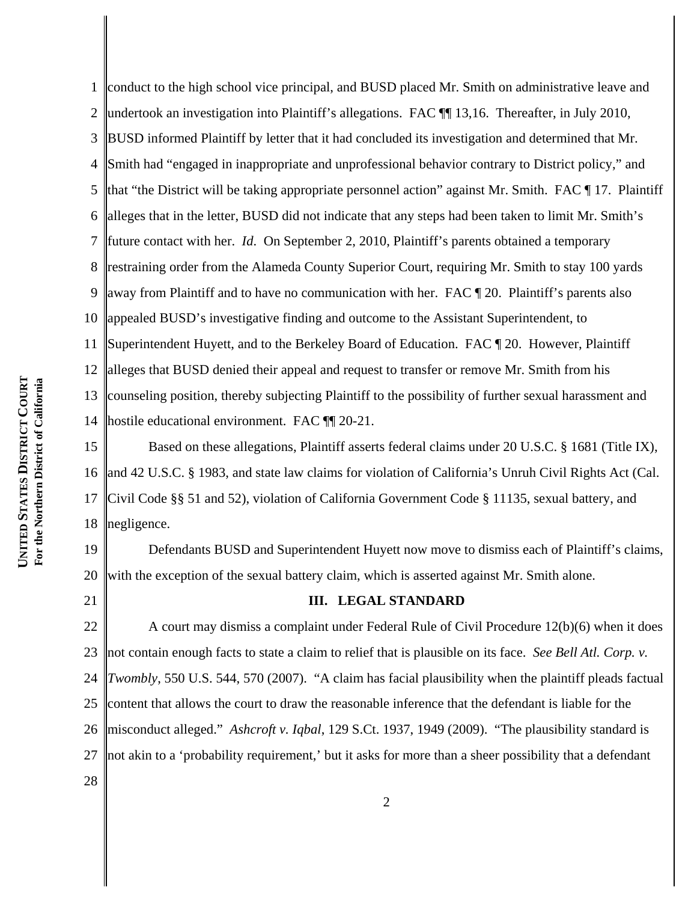1 2 3 4 5 6 7 8 9 10 11 12 13 14 conduct to the high school vice principal, and BUSD placed Mr. Smith on administrative leave and undertook an investigation into Plaintiff's allegations. FAC  $\P$  13,16. Thereafter, in July 2010, BUSD informed Plaintiff by letter that it had concluded its investigation and determined that Mr. Smith had "engaged in inappropriate and unprofessional behavior contrary to District policy," and that "the District will be taking appropriate personnel action" against Mr. Smith. FAC  $\P$  17. Plaintiff alleges that in the letter, BUSD did not indicate that any steps had been taken to limit Mr. Smith's future contact with her. *Id*. On September 2, 2010, Plaintiff's parents obtained a temporary restraining order from the Alameda County Superior Court, requiring Mr. Smith to stay 100 yards away from Plaintiff and to have no communication with her. FAC ¶ 20. Plaintiff's parents also appealed BUSD's investigative finding and outcome to the Assistant Superintendent, to Superintendent Huyett, and to the Berkeley Board of Education. FAC ¶ 20. However, Plaintiff alleges that BUSD denied their appeal and request to transfer or remove Mr. Smith from his counseling position, thereby subjecting Plaintiff to the possibility of further sexual harassment and hostile educational environment. FAC ¶¶ 20-21.

15 16 17 18 Based on these allegations, Plaintiff asserts federal claims under 20 U.S.C. § 1681 (Title IX), and 42 U.S.C. § 1983, and state law claims for violation of California's Unruh Civil Rights Act (Cal.) Civil Code §§ 51 and 52), violation of California Government Code § 11135, sexual battery, and negligence.

19 20 Defendants BUSD and Superintendent Huyett now move to dismiss each of Plaintiff's claims, with the exception of the sexual battery claim, which is asserted against Mr. Smith alone.

21

28

# **III. LEGAL STANDARD**

22 23 24 25 26 27 A court may dismiss a complaint under Federal Rule of Civil Procedure 12(b)(6) when it does not contain enough facts to state a claim to relief that is plausible on its face. *See Bell Atl. Corp. v. Twombly*, 550 U.S. 544, 570 (2007). "A claim has facial plausibility when the plaintiff pleads factual content that allows the court to draw the reasonable inference that the defendant is liable for the misconduct alleged." *Ashcroft v. Iqbal*, 129 S.Ct. 1937, 1949 (2009). "The plausibility standard is not akin to a 'probability requirement,' but it asks for more than a sheer possibility that a defendant

**COURT** For the Northern District of California **For the Northern District of California DISTRICT STATES UNITED**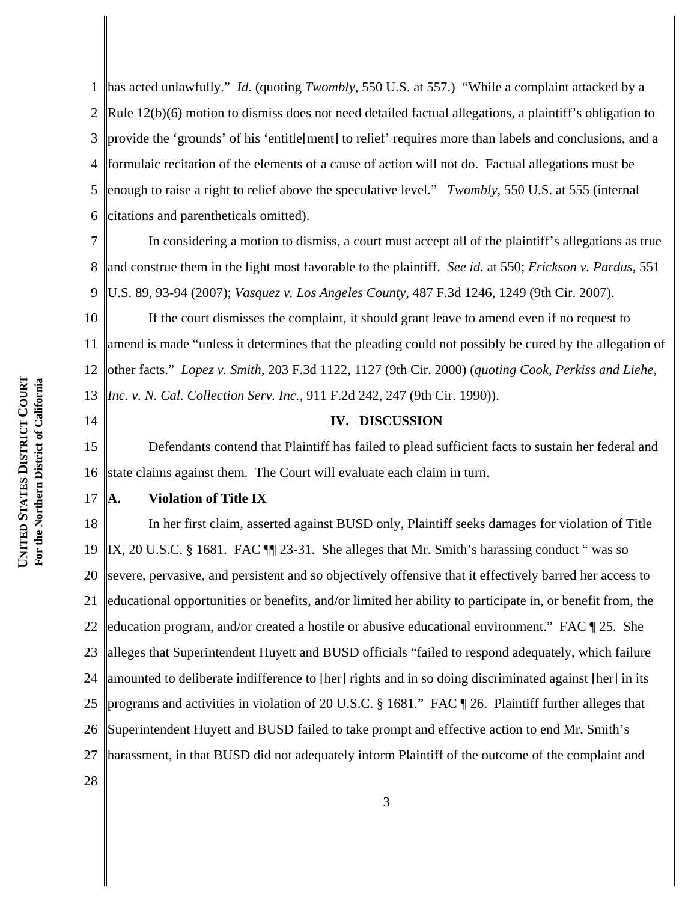1 2 3 4 5 6 has acted unlawfully." *Id*. (quoting *Twombly*, 550 U.S. at 557.) "While a complaint attacked by a Rule 12(b)(6) motion to dismiss does not need detailed factual allegations, a plaintiff's obligation to provide the 'grounds' of his 'entitle[ment] to relief' requires more than labels and conclusions, and a formulaic recitation of the elements of a cause of action will not do. Factual allegations must be enough to raise a right to relief above the speculative level." *Twombly,* 550 U.S. at 555 (internal citations and parentheticals omitted).

7 8 9 In considering a motion to dismiss, a court must accept all of the plaintiff's allegations as true and construe them in the light most favorable to the plaintiff. *See id*. at 550; *Erickson v. Pardus*, 551 U.S. 89, 93-94 (2007); *Vasquez v. Los Angeles County*, 487 F.3d 1246, 1249 (9th Cir. 2007).

10 11 12 13 If the court dismisses the complaint, it should grant leave to amend even if no request to amend is made "unless it determines that the pleading could not possibly be cured by the allegation of other facts." *Lopez v. Smith*, 203 F.3d 1122, 1127 (9th Cir. 2000) (*quoting Cook, Perkiss and Liehe, Inc. v. N. Cal. Collection Serv. Inc.*, 911 F.2d 242, 247 (9th Cir. 1990)).

14

# **IV. DISCUSSION**

15 16 Defendants contend that Plaintiff has failed to plead sufficient facts to sustain her federal and state claims against them. The Court will evaluate each claim in turn.

17 **A. Violation of Title IX**

18 19 20 21 22 23 24 25 26 27 In her first claim, asserted against BUSD only, Plaintiff seeks damages for violation of Title  $\parallel$ IX, 20 U.S.C. § 1681. FAC  $\parallel$  23-31. She alleges that Mr. Smith's harassing conduct " was so severe, pervasive, and persistent and so objectively offensive that it effectively barred her access to educational opportunities or benefits, and/or limited her ability to participate in, or benefit from, the education program, and/or created a hostile or abusive educational environment." FAC ¶ 25. She alleges that Superintendent Huyett and BUSD officials "failed to respond adequately, which failure amounted to deliberate indifference to [her] rights and in so doing discriminated against [her] in its programs and activities in violation of 20 U.S.C. § 1681." FAC ¶ 26. Plaintiff further alleges that Superintendent Huyett and BUSD failed to take prompt and effective action to end Mr. Smith's harassment, in that BUSD did not adequately inform Plaintiff of the outcome of the complaint and

28

**UNITED** 

**STATES** 

**DISTRICT** 

**For the Northern District of California**

For the Northern District of California

**COURT**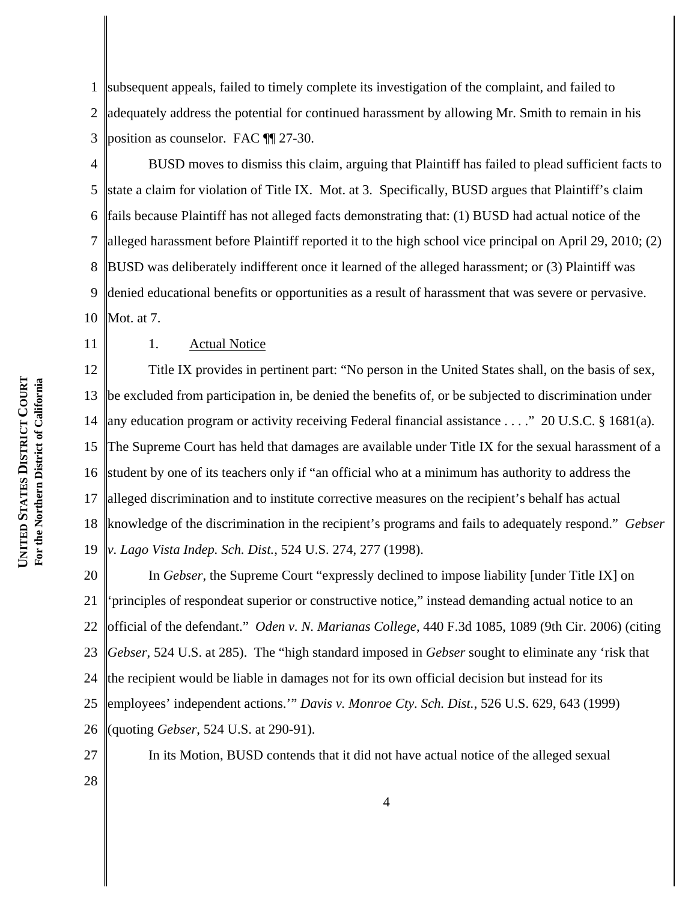1 2 3 subsequent appeals, failed to timely complete its investigation of the complaint, and failed to adequately address the potential for continued harassment by allowing Mr. Smith to remain in his position as counselor. FAC ¶¶ 27-30.

- 4 5 6 7 8 9 10 BUSD moves to dismiss this claim, arguing that Plaintiff has failed to plead sufficient facts to state a claim for violation of Title IX. Mot. at 3. Specifically, BUSD argues that Plaintiff's claim fails because Plaintiff has not alleged facts demonstrating that: (1) BUSD had actual notice of the alleged harassment before Plaintiff reported it to the high school vice principal on April 29, 2010; (2) BUSD was deliberately indifferent once it learned of the alleged harassment; or (3) Plaintiff was denied educational benefits or opportunities as a result of harassment that was severe or pervasive. Mot. at 7.
- **COURT** For the Northern District of California **For the Northern District of California DISTRICT STATES UNITED**

11

# 1. Actual Notice

12 13 14 15 16 17 18 19 Title IX provides in pertinent part: "No person in the United States shall, on the basis of sex, be excluded from participation in, be denied the benefits of, or be subjected to discrimination under any education program or activity receiving Federal financial assistance . . . ." 20 U.S.C. § 1681(a). The Supreme Court has held that damages are available under Title IX for the sexual harassment of a student by one of its teachers only if "an official who at a minimum has authority to address the alleged discrimination and to institute corrective measures on the recipient's behalf has actual knowledge of the discrimination in the recipient's programs and fails to adequately respond." *Gebser v. Lago Vista Indep. Sch. Dist.*, 524 U.S. 274, 277 (1998).

20 21 22 23 24 25 26 In *Gebser*, the Supreme Court "expressly declined to impose liability [under Title IX] on 'principles of respondeat superior or constructive notice," instead demanding actual notice to an official of the defendant." *Oden v. N. Marianas College*, 440 F.3d 1085, 1089 (9th Cir. 2006) (citing *Gebser*, 524 U.S. at 285). The "high standard imposed in *Gebser* sought to eliminate any 'risk that the recipient would be liable in damages not for its own official decision but instead for its employees' independent actions.'" *Davis v. Monroe Cty. Sch. Dist.*, 526 U.S. 629, 643 (1999) (quoting *Gebser*, 524 U.S. at 290-91).

27

In its Motion, BUSD contends that it did not have actual notice of the alleged sexual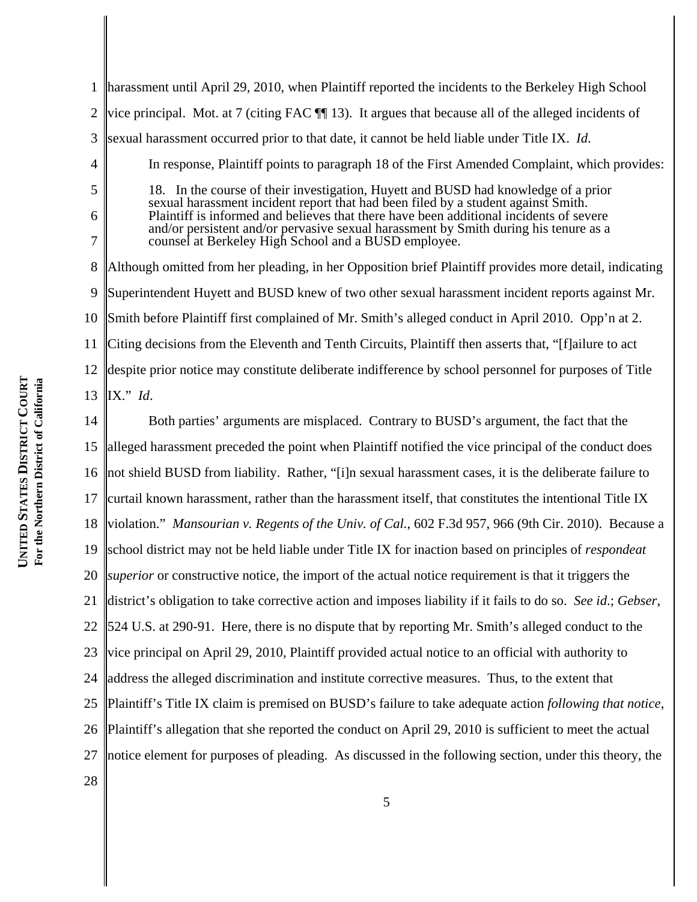| $\mathbf{1}$   | harassment until April 29, 2010, when Plaintiff reported the incidents to the Berkeley High School                                                                                                                                                                                                                                                        |  |  |  |
|----------------|-----------------------------------------------------------------------------------------------------------------------------------------------------------------------------------------------------------------------------------------------------------------------------------------------------------------------------------------------------------|--|--|--|
| $\overline{2}$ | vice principal. Mot. at 7 (citing FAC $\P$ 13). It argues that because all of the alleged incidents of                                                                                                                                                                                                                                                    |  |  |  |
| 3              | sexual harassment occurred prior to that date, it cannot be held liable under Title IX. Id.                                                                                                                                                                                                                                                               |  |  |  |
| 4              | In response, Plaintiff points to paragraph 18 of the First Amended Complaint, which provides:                                                                                                                                                                                                                                                             |  |  |  |
| 5              | 18. In the course of their investigation, Huyett and BUSD had knowledge of a prior<br>sexual harassment incident report that had been filed by a student against Smith.<br>Plaintiff is informed and believes that there have been additional incidents of severe<br>and/or persistent and/or pervasive sexual harassment by Smith during his tenure as a |  |  |  |
| 6              |                                                                                                                                                                                                                                                                                                                                                           |  |  |  |
| 7              | counsel at Berkeley High School and a BUSD employee.                                                                                                                                                                                                                                                                                                      |  |  |  |
| 8              | Although omitted from her pleading, in her Opposition brief Plaintiff provides more detail, indicating                                                                                                                                                                                                                                                    |  |  |  |
| 9              | Superintendent Huyett and BUSD knew of two other sexual harassment incident reports against Mr.                                                                                                                                                                                                                                                           |  |  |  |
| 10             | Smith before Plaintiff first complained of Mr. Smith's alleged conduct in April 2010. Opp'n at 2.                                                                                                                                                                                                                                                         |  |  |  |
| 11             | Citing decisions from the Eleventh and Tenth Circuits, Plaintiff then asserts that, "[f]ailure to act                                                                                                                                                                                                                                                     |  |  |  |
| 12             | despite prior notice may constitute deliberate indifference by school personnel for purposes of Title                                                                                                                                                                                                                                                     |  |  |  |
| 13             | $IX."$ <i>Id.</i>                                                                                                                                                                                                                                                                                                                                         |  |  |  |
| 14             | Both parties' arguments are misplaced. Contrary to BUSD's argument, the fact that the                                                                                                                                                                                                                                                                     |  |  |  |
| 15             | alleged harassment preceded the point when Plaintiff notified the vice principal of the conduct does                                                                                                                                                                                                                                                      |  |  |  |
| 16             | not shield BUSD from liability. Rather, "[i]n sexual harassment cases, it is the deliberate failure to                                                                                                                                                                                                                                                    |  |  |  |
| 17             | curtail known harassment, rather than the harassment itself, that constitutes the intentional Title IX                                                                                                                                                                                                                                                    |  |  |  |
| 18             | violation." Mansourian v. Regents of the Univ. of Cal., 602 F.3d 957, 966 (9th Cir. 2010). Because a                                                                                                                                                                                                                                                      |  |  |  |
| 19             | school district may not be held liable under Title IX for inaction based on principles of <i>respondent</i>                                                                                                                                                                                                                                               |  |  |  |
|                | 20 <i>superior</i> or constructive notice, the import of the actual notice requirement is that it triggers the                                                                                                                                                                                                                                            |  |  |  |
| 21             | district's obligation to take corrective action and imposes liability if it fails to do so. See id.; Gebser,                                                                                                                                                                                                                                              |  |  |  |
| 22             | 524 U.S. at 290-91. Here, there is no dispute that by reporting Mr. Smith's alleged conduct to the                                                                                                                                                                                                                                                        |  |  |  |
| 23             | vice principal on April 29, 2010, Plaintiff provided actual notice to an official with authority to                                                                                                                                                                                                                                                       |  |  |  |
| 24             | address the alleged discrimination and institute corrective measures. Thus, to the extent that                                                                                                                                                                                                                                                            |  |  |  |
|                | 25 Plaintiff's Title IX claim is premised on BUSD's failure to take adequate action following that notice,                                                                                                                                                                                                                                                |  |  |  |

26 Plaintiff's allegation that she reported the conduct on April 29, 2010 is sufficient to meet the actual

27 notice element for purposes of pleading. As discussed in the following section, under this theory, the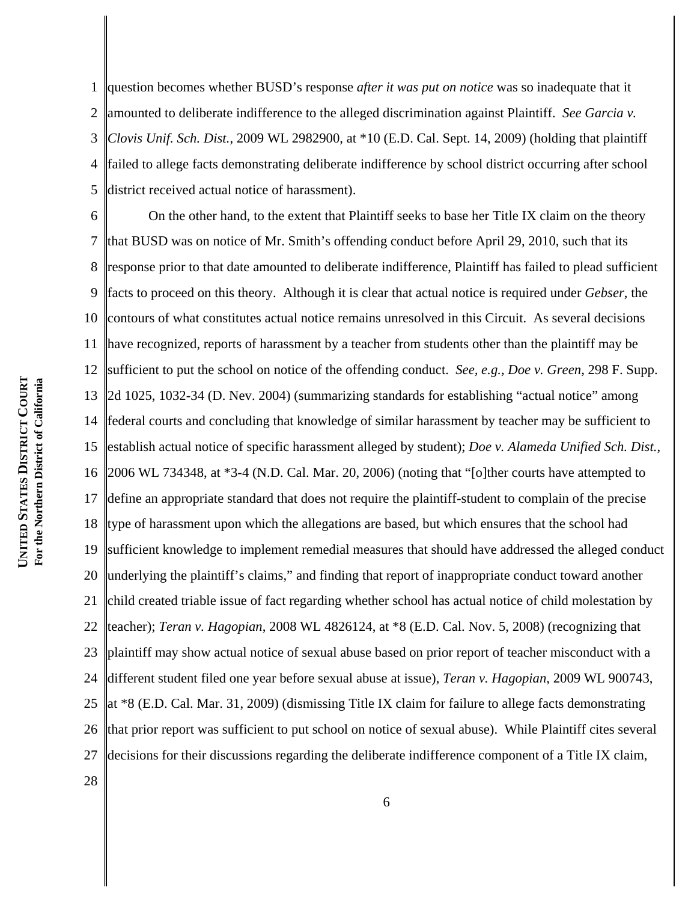1 2 3 4 5 question becomes whether BUSD's response *after it was put on notice* was so inadequate that it amounted to deliberate indifference to the alleged discrimination against Plaintiff. *See Garcia v. Clovis Unif. Sch. Dist.*, 2009 WL 2982900, at \*10 (E.D. Cal. Sept. 14, 2009) (holding that plaintiff failed to allege facts demonstrating deliberate indifference by school district occurring after school district received actual notice of harassment).

6 7 8 9 10 11 12 13 14 15 16 17 18 19 20 21 22 23 24 25 26 27 On the other hand, to the extent that Plaintiff seeks to base her Title IX claim on the theory that BUSD was on notice of Mr. Smith's offending conduct before April 29, 2010, such that its response prior to that date amounted to deliberate indifference, Plaintiff has failed to plead sufficient facts to proceed on this theory. Although it is clear that actual notice is required under *Gebser*, the contours of what constitutes actual notice remains unresolved in this Circuit. As several decisions have recognized, reports of harassment by a teacher from students other than the plaintiff may be sufficient to put the school on notice of the offending conduct. *See, e.g., Doe v. Green*, 298 F. Supp. 2d 1025, 1032-34 (D. Nev. 2004) (summarizing standards for establishing "actual notice" among federal courts and concluding that knowledge of similar harassment by teacher may be sufficient to establish actual notice of specific harassment alleged by student); *Doe v. Alameda Unified Sch. Dist.*, 2006 WL 734348, at \*3-4 (N.D. Cal. Mar. 20, 2006) (noting that "[o]ther courts have attempted to define an appropriate standard that does not require the plaintiff-student to complain of the precise type of harassment upon which the allegations are based, but which ensures that the school had sufficient knowledge to implement remedial measures that should have addressed the alleged conduct underlying the plaintiff's claims," and finding that report of inappropriate conduct toward another child created triable issue of fact regarding whether school has actual notice of child molestation by teacher); *Teran v. Hagopian*, 2008 WL 4826124, at \*8 (E.D. Cal. Nov. 5, 2008) (recognizing that plaintiff may show actual notice of sexual abuse based on prior report of teacher misconduct with a different student filed one year before sexual abuse at issue), *Teran v. Hagopian*, 2009 WL 900743, at \*8 (E.D. Cal. Mar. 31, 2009) (dismissing Title IX claim for failure to allege facts demonstrating that prior report was sufficient to put school on notice of sexual abuse). While Plaintiff cites several decisions for their discussions regarding the deliberate indifference component of a Title IX claim,

**COURT** For the Northern District of California **For the Northern District of California DISTRICT STATES UNITED**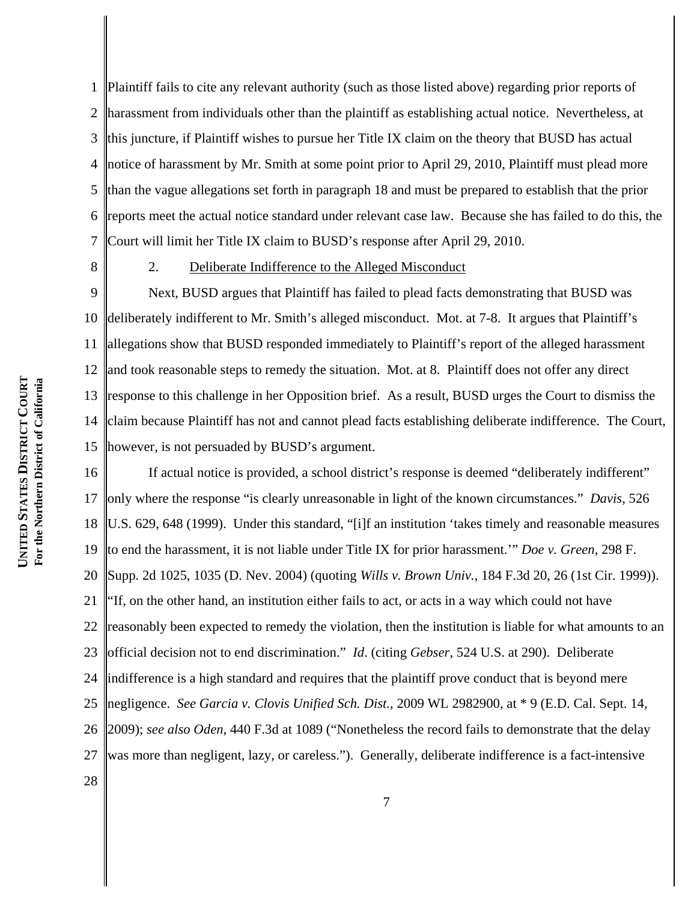1 2 3 4 5 6 7 Plaintiff fails to cite any relevant authority (such as those listed above) regarding prior reports of harassment from individuals other than the plaintiff as establishing actual notice. Nevertheless, at this juncture, if Plaintiff wishes to pursue her Title IX claim on the theory that BUSD has actual notice of harassment by Mr. Smith at some point prior to April 29, 2010, Plaintiff must plead more than the vague allegations set forth in paragraph 18 and must be prepared to establish that the prior reports meet the actual notice standard under relevant case law. Because she has failed to do this, the Court will limit her Title IX claim to BUSD's response after April 29, 2010.

8

#### 2. Deliberate Indifference to the Alleged Misconduct

9 10 11 12 13 14 15 Next, BUSD argues that Plaintiff has failed to plead facts demonstrating that BUSD was deliberately indifferent to Mr. Smith's alleged misconduct. Mot. at 7-8. It argues that Plaintiff's allegations show that BUSD responded immediately to Plaintiff's report of the alleged harassment and took reasonable steps to remedy the situation. Mot. at 8. Plaintiff does not offer any direct response to this challenge in her Opposition brief. As a result, BUSD urges the Court to dismiss the claim because Plaintiff has not and cannot plead facts establishing deliberate indifference. The Court, however, is not persuaded by BUSD's argument.

16 17 18 19 20 21 22 23 24 25 26 27 28 If actual notice is provided, a school district's response is deemed "deliberately indifferent" only where the response "is clearly unreasonable in light of the known circumstances." *Davis*, 526 U.S. 629, 648 (1999). Under this standard, "[i]f an institution 'takes timely and reasonable measures to end the harassment, it is not liable under Title IX for prior harassment.'" *Doe v. Green*, 298 F. Supp. 2d 1025, 1035 (D. Nev. 2004) (quoting *Wills v. Brown Univ.*, 184 F.3d 20, 26 (1st Cir. 1999)). "If, on the other hand, an institution either fails to act, or acts in a way which could not have reasonably been expected to remedy the violation, then the institution is liable for what amounts to an official decision not to end discrimination." *Id*. (citing *Gebser*, 524 U.S. at 290). Deliberate indifference is a high standard and requires that the plaintiff prove conduct that is beyond mere negligence. *See Garcia v. Clovis Unified Sch. Dist.*, 2009 WL 2982900, at \* 9 (E.D. Cal. Sept. 14, 2009); *see also Oden*, 440 F.3d at 1089 ("Nonetheless the record fails to demonstrate that the delay was more than negligent, lazy, or careless."). Generally, deliberate indifference is a fact-intensive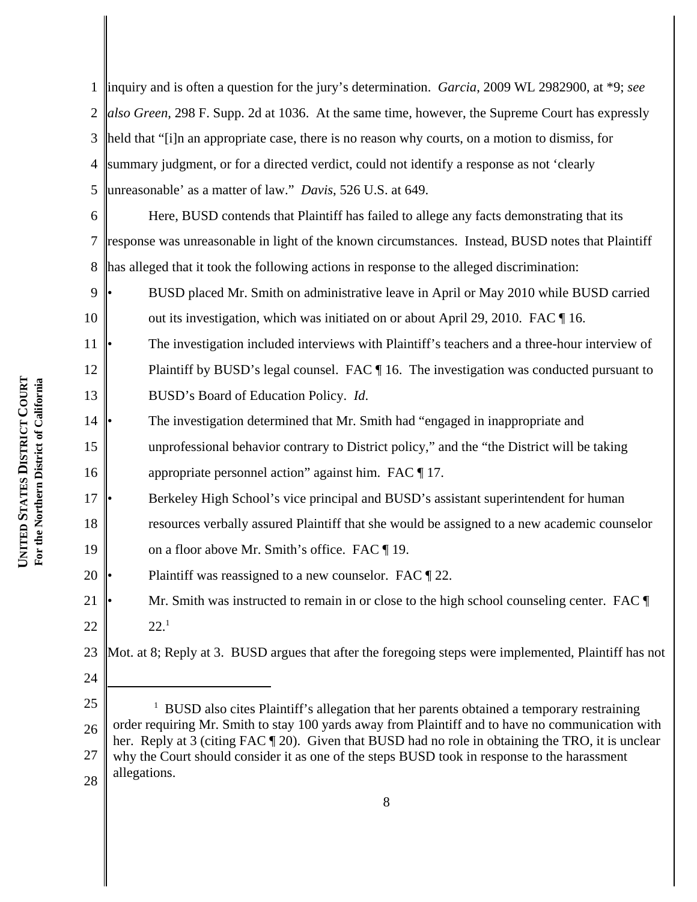1 2 3 4 5 6 7 8 9 10 11 12 13 14 15 16 17 18 19 20 21 22 23 24 25 <sup>1</sup> BUSD also cites Plaintiff's allegation that her parents obtained a temporary restraining inquiry and is often a question for the jury's determination. *Garcia*, 2009 WL 2982900, at \*9; *see also Green*, 298 F. Supp. 2d at 1036. At the same time, however, the Supreme Court has expressly held that "[i]n an appropriate case, there is no reason why courts, on a motion to dismiss, for summary judgment, or for a directed verdict, could not identify a response as not 'clearly unreasonable' as a matter of law." *Davis*, 526 U.S. at 649. Here, BUSD contends that Plaintiff has failed to allege any facts demonstrating that its response was unreasonable in light of the known circumstances. Instead, BUSD notes that Plaintiff has alleged that it took the following actions in response to the alleged discrimination: • BUSD placed Mr. Smith on administrative leave in April or May 2010 while BUSD carried out its investigation, which was initiated on or about April 29, 2010. FAC ¶ 16. The investigation included interviews with Plaintiff's teachers and a three-hour interview of Plaintiff by BUSD's legal counsel. FAC ¶ 16. The investigation was conducted pursuant to BUSD's Board of Education Policy. *Id*. • The investigation determined that Mr. Smith had "engaged in inappropriate and unprofessional behavior contrary to District policy," and the "the District will be taking appropriate personnel action" against him. FAC ¶ 17. • Berkeley High School's vice principal and BUSD's assistant superintendent for human resources verbally assured Plaintiff that she would be assigned to a new academic counselor on a floor above Mr. Smith's office. FAC ¶ 19. Plaintiff was reassigned to a new counselor. FAC  $\llbracket 22$ . Mr. Smith was instructed to remain in or close to the high school counseling center. FAC  $\P$  $22.<sup>1</sup>$ Mot. at 8; Reply at 3. BUSD argues that after the foregoing steps were implemented, Plaintiff has not

<sup>26</sup> 27 28 order requiring Mr. Smith to stay 100 yards away from Plaintiff and to have no communication with her. Reply at 3 (citing FAC  $\P$  20). Given that BUSD had no role in obtaining the TRO, it is unclear why the Court should consider it as one of the steps BUSD took in response to the harassment allegations.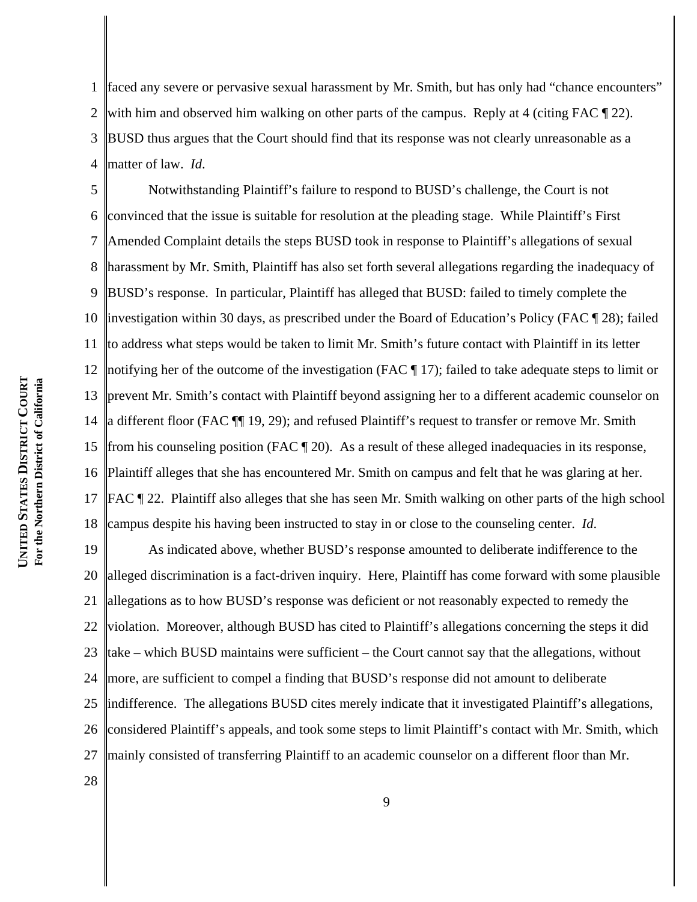1 2 3 4 faced any severe or pervasive sexual harassment by Mr. Smith, but has only had "chance encounters" with him and observed him walking on other parts of the campus. Reply at 4 (citing FAC  $\P$  22). BUSD thus argues that the Court should find that its response was not clearly unreasonable as a matter of law. *Id*.

5 6 7 8 9 10 11 12 13 14 15 16 17 18 Notwithstanding Plaintiff's failure to respond to BUSD's challenge, the Court is not convinced that the issue is suitable for resolution at the pleading stage. While Plaintiff's First Amended Complaint details the steps BUSD took in response to Plaintiff's allegations of sexual harassment by Mr. Smith, Plaintiff has also set forth several allegations regarding the inadequacy of BUSD's response. In particular, Plaintiff has alleged that BUSD: failed to timely complete the investigation within 30 days, as prescribed under the Board of Education's Policy (FAC ¶ 28); failed to address what steps would be taken to limit Mr. Smith's future contact with Plaintiff in its letter notifying her of the outcome of the investigation (FAC ¶ 17); failed to take adequate steps to limit or prevent Mr. Smith's contact with Plaintiff beyond assigning her to a different academic counselor on a different floor (FAC ¶¶ 19, 29); and refused Plaintiff's request to transfer or remove Mr. Smith from his counseling position (FAC  $\P$  20). As a result of these alleged inadequacies in its response, Plaintiff alleges that she has encountered Mr. Smith on campus and felt that he was glaring at her. FAC ¶ 22. Plaintiff also alleges that she has seen Mr. Smith walking on other parts of the high school campus despite his having been instructed to stay in or close to the counseling center. *Id*.

19 20 21 22 23 24 25 26 27 As indicated above, whether BUSD's response amounted to deliberate indifference to the alleged discrimination is a fact-driven inquiry. Here, Plaintiff has come forward with some plausible allegations as to how BUSD's response was deficient or not reasonably expected to remedy the violation. Moreover, although BUSD has cited to Plaintiff's allegations concerning the steps it did take – which BUSD maintains were sufficient – the Court cannot say that the allegations, without more, are sufficient to compel a finding that BUSD's response did not amount to deliberate indifference. The allegations BUSD cites merely indicate that it investigated Plaintiff's allegations, considered Plaintiff's appeals, and took some steps to limit Plaintiff's contact with Mr. Smith, which mainly consisted of transferring Plaintiff to an academic counselor on a different floor than Mr.

For the Northern District of California **For the Northern District of California DISTRICT STATES UNITED** 

28

**COURT**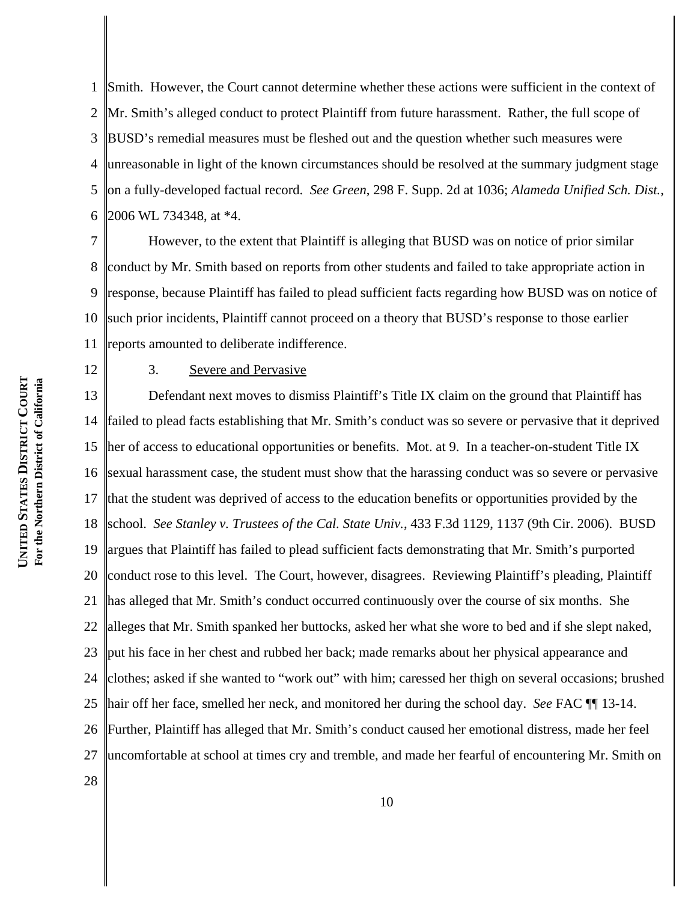1 2 3 4 5 6 Smith. However, the Court cannot determine whether these actions were sufficient in the context of Mr. Smith's alleged conduct to protect Plaintiff from future harassment. Rather, the full scope of BUSD's remedial measures must be fleshed out and the question whether such measures were unreasonable in light of the known circumstances should be resolved at the summary judgment stage on a fully-developed factual record. *See Green*, 298 F. Supp. 2d at 1036; *Alameda Unified Sch. Dist.*, 2006 WL 734348, at \*4.

7 8 9 10 11 However, to the extent that Plaintiff is alleging that BUSD was on notice of prior similar conduct by Mr. Smith based on reports from other students and failed to take appropriate action in response, because Plaintiff has failed to plead sufficient facts regarding how BUSD was on notice of such prior incidents, Plaintiff cannot proceed on a theory that BUSD's response to those earlier reports amounted to deliberate indifference.

12

28

# 3. Severe and Pervasive

13 14 15 16 17 18 19 20 21 22 23 24 25 26 27 Defendant next moves to dismiss Plaintiff's Title IX claim on the ground that Plaintiff has failed to plead facts establishing that Mr. Smith's conduct was so severe or pervasive that it deprived her of access to educational opportunities or benefits. Mot. at 9. In a teacher-on-student Title IX sexual harassment case, the student must show that the harassing conduct was so severe or pervasive that the student was deprived of access to the education benefits or opportunities provided by the school. *See Stanley v. Trustees of the Cal. State Univ.*, 433 F.3d 1129, 1137 (9th Cir. 2006). BUSD argues that Plaintiff has failed to plead sufficient facts demonstrating that Mr. Smith's purported conduct rose to this level. The Court, however, disagrees. Reviewing Plaintiff's pleading, Plaintiff has alleged that Mr. Smith's conduct occurred continuously over the course of six months. She alleges that Mr. Smith spanked her buttocks, asked her what she wore to bed and if she slept naked, put his face in her chest and rubbed her back; made remarks about her physical appearance and clothes; asked if she wanted to "work out" with him; caressed her thigh on several occasions; brushed hair off her face, smelled her neck, and monitored her during the school day. *See* FAC ¶¶ 13-14. Further, Plaintiff has alleged that Mr. Smith's conduct caused her emotional distress, made her feel uncomfortable at school at times cry and tremble, and made her fearful of encountering Mr. Smith on

**COURT** For the Northern District of California **For the Northern District of California DISTRICT STATES UNITED**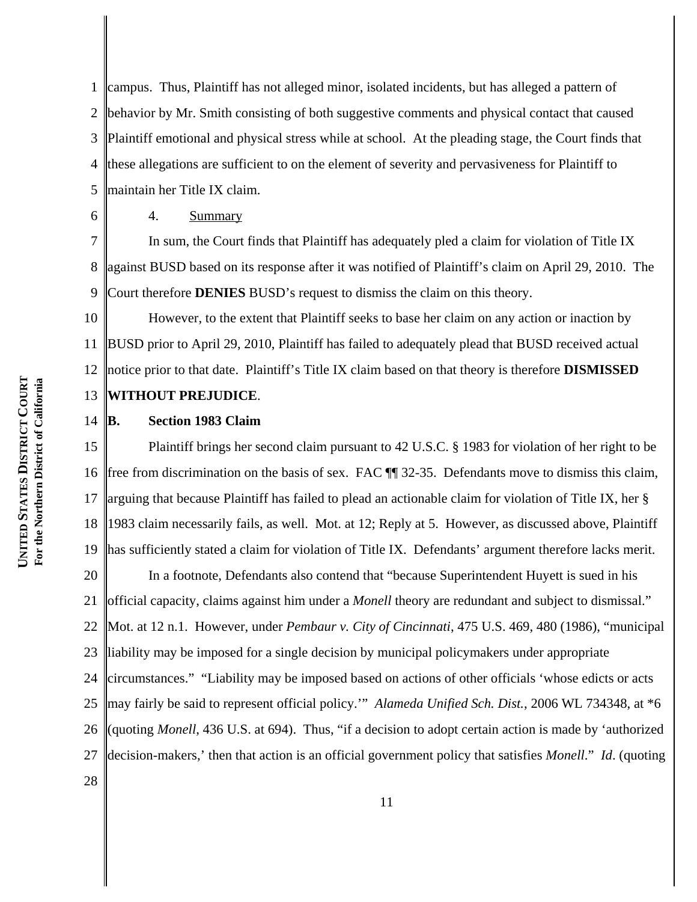1 2 3 4 5 campus. Thus, Plaintiff has not alleged minor, isolated incidents, but has alleged a pattern of behavior by Mr. Smith consisting of both suggestive comments and physical contact that caused Plaintiff emotional and physical stress while at school. At the pleading stage, the Court finds that these allegations are sufficient to on the element of severity and pervasiveness for Plaintiff to maintain her Title IX claim.

4. Summary

6

28

7 8 9 In sum, the Court finds that Plaintiff has adequately pled a claim for violation of Title IX against BUSD based on its response after it was notified of Plaintiff's claim on April 29, 2010. The Court therefore **DENIES** BUSD's request to dismiss the claim on this theory.

10 11 12 13 However, to the extent that Plaintiff seeks to base her claim on any action or inaction by BUSD prior to April 29, 2010, Plaintiff has failed to adequately plead that BUSD received actual notice prior to that date. Plaintiff's Title IX claim based on that theory is therefore **DISMISSED WITHOUT PREJUDICE**.

#### 14 **B. Section 1983 Claim**

15 16 17 18 19 Plaintiff brings her second claim pursuant to 42 U.S.C. § 1983 for violation of her right to be free from discrimination on the basis of sex. FAC ¶¶ 32-35. Defendants move to dismiss this claim, arguing that because Plaintiff has failed to plead an actionable claim for violation of Title IX, her § 1983 claim necessarily fails, as well. Mot. at 12; Reply at 5. However, as discussed above, Plaintiff has sufficiently stated a claim for violation of Title IX. Defendants' argument therefore lacks merit.

20 21 22 23 24 25 26 27 In a footnote, Defendants also contend that "because Superintendent Huyett is sued in his official capacity, claims against him under a *Monell* theory are redundant and subject to dismissal." Mot. at 12 n.1. However, under *Pembaur v. City of Cincinnati*, 475 U.S. 469, 480 (1986), "municipal liability may be imposed for a single decision by municipal policymakers under appropriate circumstances." "Liability may be imposed based on actions of other officials 'whose edicts or acts may fairly be said to represent official policy.'" *Alameda Unified Sch. Dist.*, 2006 WL 734348, at \*6 (quoting *Monell*, 436 U.S. at 694). Thus, "if a decision to adopt certain action is made by 'authorized decision-makers,' then that action is an official government policy that satisfies *Monell*." *Id*. (quoting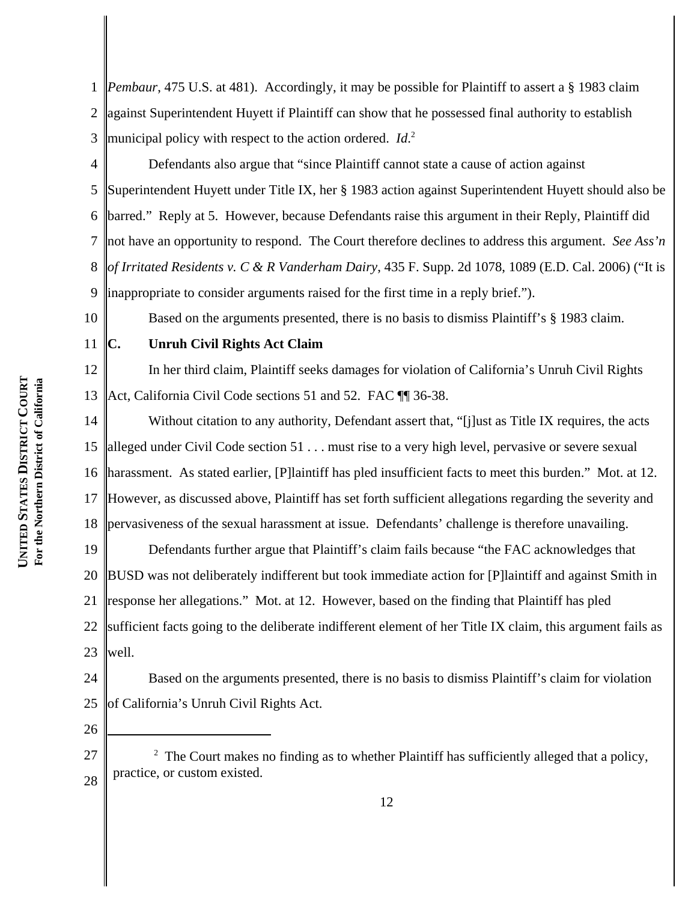1 2 3 *Pembaur*, 475 U.S. at 481). Accordingly, it may be possible for Plaintiff to assert a § 1983 claim against Superintendent Huyett if Plaintiff can show that he possessed final authority to establish municipal policy with respect to the action ordered. *Id*. 2

4 5 6 7 8 9 Defendants also argue that "since Plaintiff cannot state a cause of action against Superintendent Huyett under Title IX, her § 1983 action against Superintendent Huyett should also be barred." Reply at 5. However, because Defendants raise this argument in their Reply, Plaintiff did not have an opportunity to respond. The Court therefore declines to address this argument. *See Ass'n of Irritated Residents v. C & R Vanderham Dairy*, 435 F. Supp. 2d 1078, 1089 (E.D. Cal. 2006) ("It is inappropriate to consider arguments raised for the first time in a reply brief.").

Based on the arguments presented, there is no basis to dismiss Plaintiff's § 1983 claim.

11

10

# **C. Unruh Civil Rights Act Claim**

12 13 In her third claim, Plaintiff seeks damages for violation of California's Unruh Civil Rights Act, California Civil Code sections 51 and 52. FAC TI 36-38.

14 15 16 17 18 Without citation to any authority, Defendant assert that, "[j]ust as Title IX requires, the acts alleged under Civil Code section 51 . . . must rise to a very high level, pervasive or severe sexual harassment. As stated earlier, [P]laintiff has pled insufficient facts to meet this burden." Mot. at 12. However, as discussed above, Plaintiff has set forth sufficient allegations regarding the severity and pervasiveness of the sexual harassment at issue. Defendants' challenge is therefore unavailing.

19 20 21 22 23 Defendants further argue that Plaintiff's claim fails because "the FAC acknowledges that BUSD was not deliberately indifferent but took immediate action for [P]laintiff and against Smith in response her allegations." Mot. at 12. However, based on the finding that Plaintiff has pled sufficient facts going to the deliberate indifferent element of her Title IX claim, this argument fails as well.

24 25 Based on the arguments presented, there is no basis to dismiss Plaintiff's claim for violation of California's Unruh Civil Rights Act.

<sup>27</sup> 28  $2$  The Court makes no finding as to whether Plaintiff has sufficiently alleged that a policy, practice, or custom existed.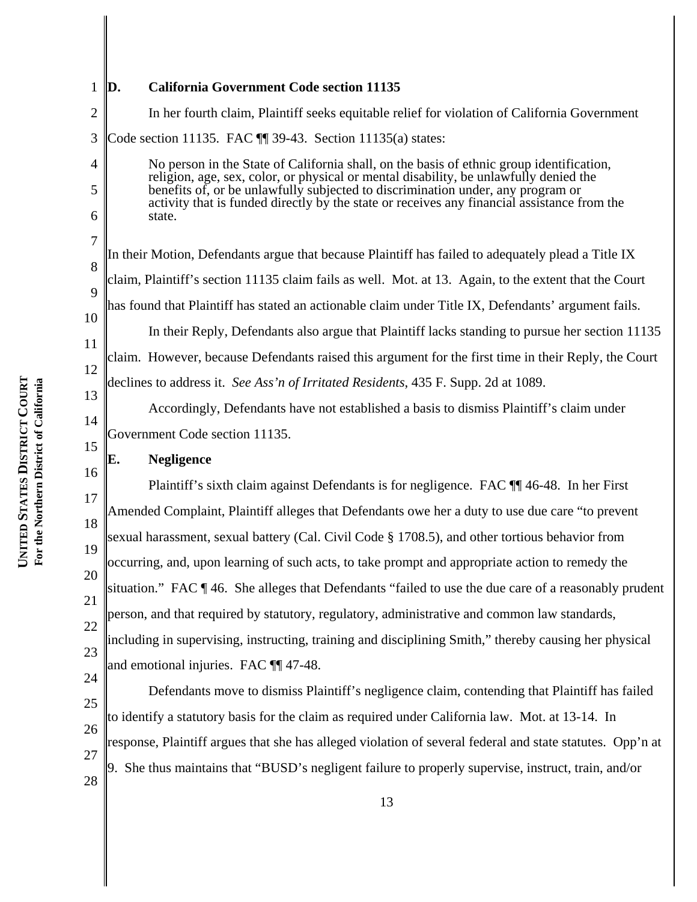# **D. California Government Code section 11135**

2 3 4 In her fourth claim, Plaintiff seeks equitable relief for violation of California Government Code section 11135. FAC ¶¶ 39-43. Section 11135(a) states:

No person in the State of California shall, on the basis of ethnic group identification, religion, age, sex, color, or physical or mental disability, be unlawfully denied the benefits of, or be unlawfully subjected to discrimination under, any program or activity that is funded directly by the state or receives any financial assistance from the state.

In their Motion, Defendants argue that because Plaintiff has failed to adequately plead a Title IX claim, Plaintiff's section 11135 claim fails as well. Mot. at 13. Again, to the extent that the Court has found that Plaintiff has stated an actionable claim under Title IX, Defendants' argument fails. In their Reply, Defendants also argue that Plaintiff lacks standing to pursue her section 11135 claim. However, because Defendants raised this argument for the first time in their Reply, the Court

declines to address it. *See Ass'n of Irritated Residents*, 435 F. Supp. 2d at 1089.

Accordingly, Defendants have not established a basis to dismiss Plaintiff's claim under Government Code section 11135.

#### **E. Negligence**

17 18 19 20 21 22 23 Plaintiff's sixth claim against Defendants is for negligence. FAC ¶¶ 46-48. In her First Amended Complaint, Plaintiff alleges that Defendants owe her a duty to use due care "to prevent sexual harassment, sexual battery (Cal. Civil Code § 1708.5), and other tortious behavior from occurring, and, upon learning of such acts, to take prompt and appropriate action to remedy the situation." FAC ¶ 46. She alleges that Defendants "failed to use the due care of a reasonably prudent person, and that required by statutory, regulatory, administrative and common law standards, including in supervising, instructing, training and disciplining Smith," thereby causing her physical and emotional injuries. FAC ¶¶ 47-48.

25 26 27 28 Defendants move to dismiss Plaintiff's negligence claim, contending that Plaintiff has failed to identify a statutory basis for the claim as required under California law. Mot. at 13-14. In response, Plaintiff argues that she has alleged violation of several federal and state statutes. Opp'n at 9. She thus maintains that "BUSD's negligent failure to properly supervise, instruct, train, and/or

1

5

6

7

8

9

10

11

12

13

14

15

16